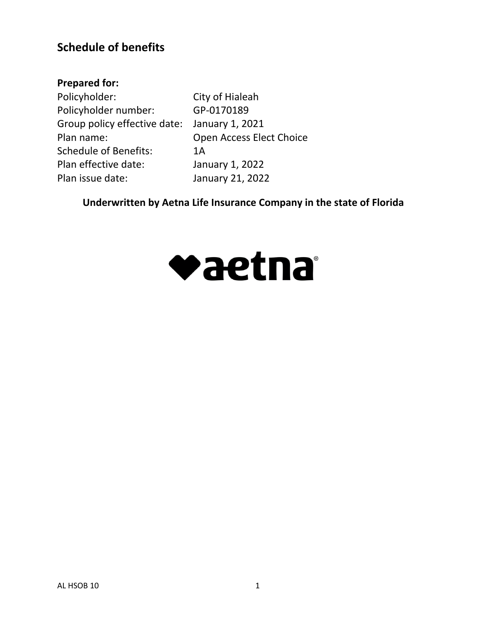# **Schedule of benefits**

# **Prepared for:**

Policyholder: City of Hialeah Policyholder number: GP-0170189 Group policy effective date: January 1, 2021 Plan name: Open Access Elect Choice Schedule of Benefits: 1A Plan effective date: January 1, 2022 Plan issue date: January 21, 2022

**Underwritten by Aetna Life Insurance Company in the state of Florida**

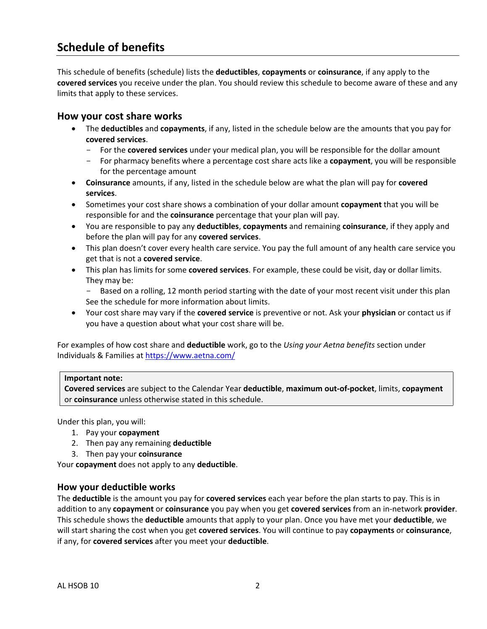# **Schedule of benefits**

This schedule of benefits (schedule) lists the **deductibles**, **copayments** or **coinsurance**, if any apply to the **covered services** you receive under the plan. You should review this schedule to become aware of these and any limits that apply to these services.

#### **How your cost share works**

- The **deductibles** and **copayments**, if any, listed in the schedule below are the amounts that you pay for **covered services**.
	- For the **covered services** under your medical plan, you will be responsible for the dollar amount
	- For pharmacy benefits where a percentage cost share acts like a **copayment**, you will be responsible for the percentage amount
- **Coinsurance** amounts, if any, listed in the schedule below are what the plan will pay for **covered services**.
- Sometimes your cost share shows a combination of your dollar amount **copayment** that you will be responsible for and the **coinsurance** percentage that your plan will pay.
- You are responsible to pay any **deductibles**, **copayments** and remaining **coinsurance**, if they apply and before the plan will pay for any **covered services**.
- This plan doesn't cover every health care service. You pay the full amount of any health care service you get that is not a **covered service**.
- This plan has limits for some **covered services**. For example, these could be visit, day or dollar limits. They may be:

- Based on a rolling, 12 month period starting with the date of your most recent visit under this plan See the schedule for more information about limits.

 Your cost share may vary if the **covered service** is preventive or not. Ask your **physician** or contact us if you have a question about what your cost share will be.

For examples of how cost share and **deductible** work, go to the *Using your Aetna benefits* section under Individuals & Families at <https://www.aetna.com/>

#### **Important note:**

**Covered services** are subject to the Calendar Year **deductible**, **maximum out-of-pocket**, limits, **copayment**  or **coinsurance** unless otherwise stated in this schedule.

Under this plan, you will:

- 1. Pay your **copayment**
- 2. Then pay any remaining **deductible**
- 3. Then pay your **coinsurance**

Your **copayment** does not apply to any **deductible**.

#### **How your deductible works**

The **deductible** is the amount you pay for **covered services** each year before the plan starts to pay. This is in addition to any **copayment** or **coinsurance** you pay when you get **covered services** from an in-network **provider**. This schedule shows the **deductible** amounts that apply to your plan. Once you have met your **deductible**, we will start sharing the cost when you get **covered services**. You will continue to pay **copayments** or **coinsurance**, if any, for **covered services** after you meet your **deductible**.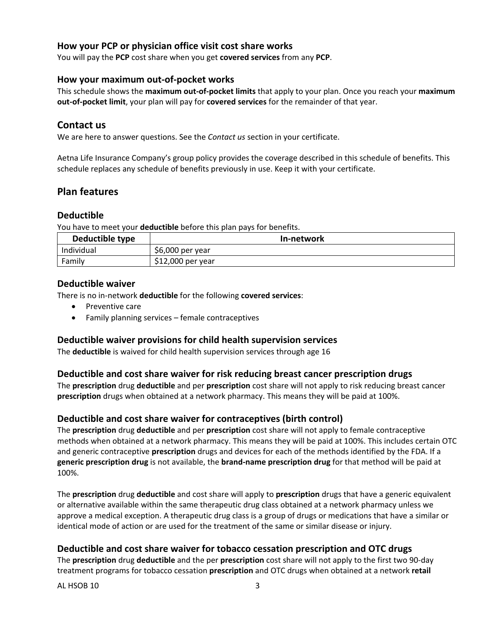# **How your PCP or physician office visit cost share works**

You will pay the **PCP** cost share when you get **covered services** from any **PCP**.

#### **How your maximum out-of-pocket works**

This schedule shows the **maximum out-of-pocket limits** that apply to your plan. Once you reach your **maximum out-of-pocket limit**, your plan will pay for **covered services** for the remainder of that year.

### **Contact us**

We are here to answer questions. See the *Contact us* section in your certificate.

Aetna Life Insurance Company's group policy provides the coverage described in this schedule of benefits. This schedule replaces any schedule of benefits previously in use. Keep it with your certificate.

### **Plan features**

#### **Deductible**

You have to meet your **deductible** before this plan pays for benefits.

| Deductible type | In-network         |
|-----------------|--------------------|
| Individual      | $$6,000$ per year  |
| Family          | $$12,000$ per year |

#### **Deductible waiver**

There is no in-network **deductible** for the following **covered services**:

- Preventive care
- Family planning services female contraceptives

#### **Deductible waiver provisions for child health supervision services**

The **deductible** is waived for child health supervision services through age 16

#### **Deductible and cost share waiver for risk reducing breast cancer prescription drugs**

The **prescription** drug **deductible** and per **prescription** cost share will not apply to risk reducing breast cancer **prescription** drugs when obtained at a network pharmacy. This means they will be paid at 100%.

#### **Deductible and cost share waiver for contraceptives (birth control)**

The **prescription** drug **deductible** and per **prescription** cost share will not apply to female contraceptive methods when obtained at a network pharmacy. This means they will be paid at 100%. This includes certain OTC and generic contraceptive **prescription** drugs and devices for each of the methods identified by the FDA. If a **generic prescription drug** is not available, the **brand-name prescription drug** for that method will be paid at 100%.

The **prescription** drug **deductible** and cost share will apply to **prescription** drugs that have a generic equivalent or alternative available within the same therapeutic drug class obtained at a network pharmacy unless we approve a medical exception. A therapeutic drug class is a group of drugs or medications that have a similar or identical mode of action or are used for the treatment of the same or similar disease or injury.

#### **Deductible and cost share waiver for tobacco cessation prescription and OTC drugs**

The **prescription** drug **deductible** and the per **prescription** cost share will not apply to the first two 90-day treatment programs for tobacco cessation **prescription** and OTC drugs when obtained at a network **retail** 

AL HSOB 10 3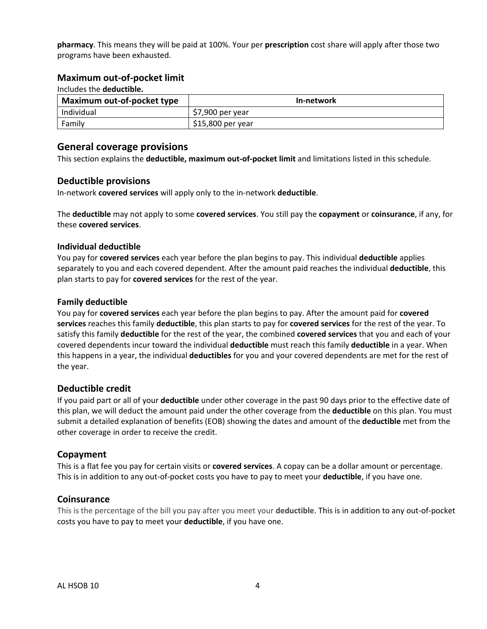**pharmacy**. This means they will be paid at 100%. Your per **prescription** cost share will apply after those two programs have been exhausted.

#### **Maximum out-of-pocket limit**

| Includes the <b>deductible.</b> |                   |  |
|---------------------------------|-------------------|--|
| Maximum out-of-pocket type      | In-network        |  |
| Individual                      | \$7,900 per year  |  |
| Family                          | \$15,800 per year |  |

#### **General coverage provisions**

This section explains the **deductible, maximum out-of-pocket limit** and limitations listed in this schedule.

#### **Deductible provisions**

In-network **covered services** will apply only to the in-network **deductible**.

The **deductible** may not apply to some **covered services**. You still pay the **copayment** or **coinsurance**, if any, for these **covered services**.

#### **Individual deductible**

You pay for **covered services** each year before the plan begins to pay. This individual **deductible** applies separately to you and each covered dependent. After the amount paid reaches the individual **deductible**, this plan starts to pay for **covered services** for the rest of the year.

#### **Family deductible**

You pay for **covered services** each year before the plan begins to pay. After the amount paid for **covered services** reaches this family **deductible**, this plan starts to pay for **covered services** for the rest of the year. To satisfy this family **deductible** for the rest of the year, the combined **covered services** that you and each of your covered dependents incur toward the individual **deductible** must reach this family **deductible** in a year. When this happens in a year, the individual **deductibles** for you and your covered dependents are met for the rest of the year.

#### **Deductible credit**

If you paid part or all of your **deductible** under other coverage in the past 90 days prior to the effective date of this plan, we will deduct the amount paid under the other coverage from the **deductible** on this plan. You must submit a detailed explanation of benefits (EOB) showing the dates and amount of the **deductible** met from the other coverage in order to receive the credit.

#### **Copayment**

This is a flat fee you pay for certain visits or **covered services**. A copay can be a dollar amount or percentage. This is in addition to any out-of-pocket costs you have to pay to meet your **deductible**, if you have one.

#### **Coinsurance**

This is the percentage of the bill you pay after you meet your **deductible**. This is in addition to any out-of-pocket costs you have to pay to meet your **deductible**, if you have one.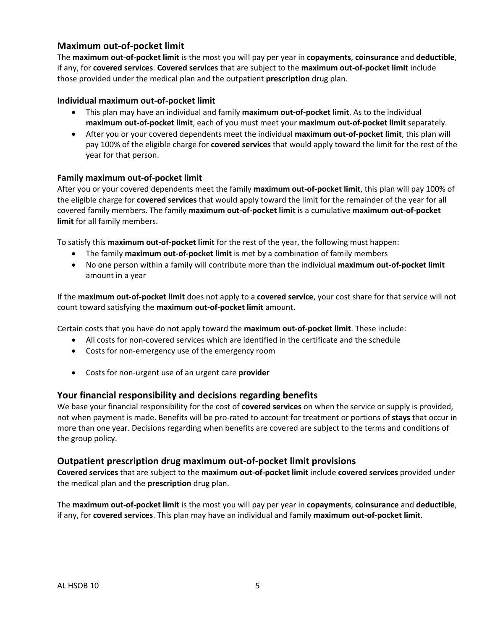# **Maximum out-of-pocket limit**

The **maximum out-of-pocket limit** is the most you will pay per year in **copayments**, **coinsurance** and **deductible**, if any, for **covered services**. **Covered services** that are subject to the **maximum out-of-pocket limit** include those provided under the medical plan and the outpatient **prescription** drug plan.

#### **Individual maximum out-of-pocket limit**

- This plan may have an individual and family **maximum out-of-pocket limit**. As to the individual **maximum out-of-pocket limit**, each of you must meet your **maximum out-of-pocket limit** separately.
- After you or your covered dependents meet the individual **maximum out-of-pocket limit**, this plan will pay 100% of the eligible charge for **covered services** that would apply toward the limit for the rest of the year for that person.

#### **Family maximum out-of-pocket limit**

After you or your covered dependents meet the family **maximum out-of-pocket limit**, this plan will pay 100% of the eligible charge for **covered services** that would apply toward the limit for the remainder of the year for all covered family members. The family **maximum out-of-pocket limit** is a cumulative **maximum out-of-pocket limit** for all family members.

To satisfy this **maximum out-of-pocket limit** for the rest of the year, the following must happen:

- The family **maximum out-of-pocket limit** is met by a combination of family members
- No one person within a family will contribute more than the individual **maximum out-of-pocket limit** amount in a year

If the **maximum out-of-pocket limit** does not apply to a **covered service**, your cost share for that service will not count toward satisfying the **maximum out-of-pocket limit** amount.

Certain costs that you have do not apply toward the **maximum out-of-pocket limit**. These include:

- All costs for non-covered services which are identified in the certificate and the schedule
- Costs for non-emergency use of the emergency room
- Costs for non-urgent use of an urgent care **provider**

#### **Your financial responsibility and decisions regarding benefits**

We base your financial responsibility for the cost of **covered services** on when the service or supply is provided, not when payment is made. Benefits will be pro-rated to account for treatment or portions of **stays** that occur in more than one year. Decisions regarding when benefits are covered are subject to the terms and conditions of the group policy.

#### **Outpatient prescription drug maximum out-of-pocket limit provisions**

**Covered services** that are subject to the **maximum out-of-pocket limit** include **covered services** provided under the medical plan and the **prescription** drug plan.

The **maximum out-of-pocket limit** is the most you will pay per year in **copayments**, **coinsurance** and **deductible**, if any, for **covered services**. This plan may have an individual and family **maximum out-of-pocket limit**.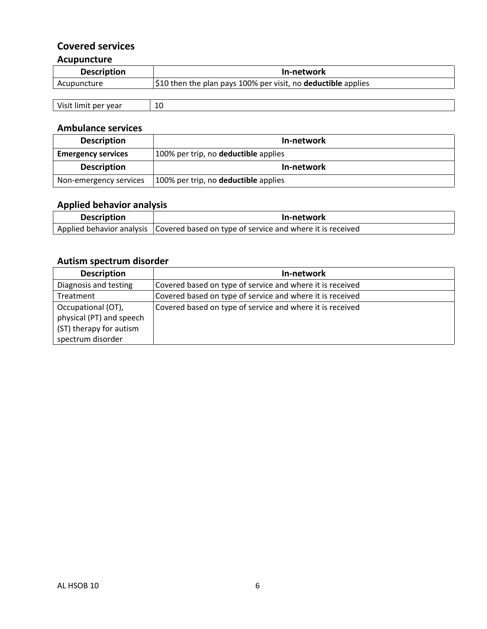# **Covered services Acupuncture**

# **Description In-network** Acupuncture **\$10 then the plan pays 100% per visit, no deductible** applies

| <br>10<br>r vear<br>ner |  |
|-------------------------|--|

# **Ambulance services**

| <b>Description</b>        | In-network                           |
|---------------------------|--------------------------------------|
| <b>Emergency services</b> | 100% per trip, no deductible applies |
| <b>Description</b>        | In-network                           |
| Non-emergency services    | 100% per trip, no deductible applies |

# **Applied behavior analysis**

| <b>Description</b> | In-network                                                                            |
|--------------------|---------------------------------------------------------------------------------------|
|                    | Applied behavior analysis   Covered based on type of service and where it is received |

# **Autism spectrum disorder**

| <b>Description</b>       | In-network                                                |
|--------------------------|-----------------------------------------------------------|
| Diagnosis and testing    | Covered based on type of service and where it is received |
| Treatment                | Covered based on type of service and where it is received |
| Occupational (OT),       | Covered based on type of service and where it is received |
| physical (PT) and speech |                                                           |
| (ST) therapy for autism  |                                                           |
| spectrum disorder        |                                                           |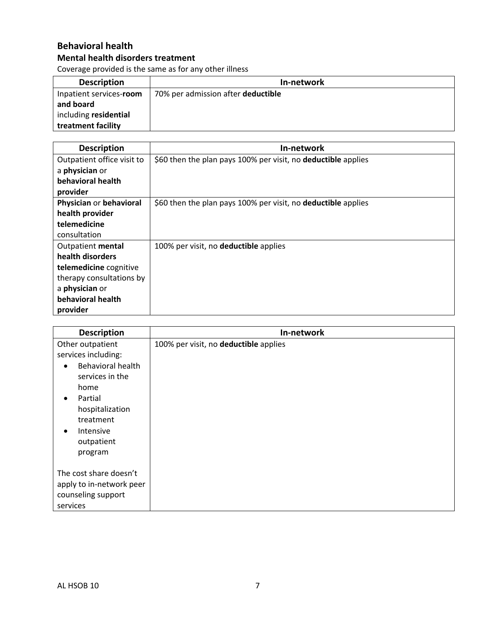# **Behavioral health**

# **Mental health disorders treatment**

Coverage provided is the same as for any other illness

| <b>Description</b>      | In-network                         |
|-------------------------|------------------------------------|
| Inpatient services-room | 70% per admission after deductible |
| and board               |                                    |
| including residential   |                                    |
| treatment facility      |                                    |

| <b>Description</b>         | In-network                                                    |
|----------------------------|---------------------------------------------------------------|
| Outpatient office visit to | \$60 then the plan pays 100% per visit, no deductible applies |
| a physician or             |                                                               |
| behavioral health          |                                                               |
| provider                   |                                                               |
| Physician or behavioral    | \$60 then the plan pays 100% per visit, no deductible applies |
| health provider            |                                                               |
| telemedicine               |                                                               |
| consultation               |                                                               |
| Outpatient mental          | 100% per visit, no <b>deductible</b> applies                  |
| health disorders           |                                                               |
| telemedicine cognitive     |                                                               |
| therapy consultations by   |                                                               |
| a physician or             |                                                               |
| behavioral health          |                                                               |
| provider                   |                                                               |

| <b>Description</b>                                                                                                                                                                    | In-network                            |
|---------------------------------------------------------------------------------------------------------------------------------------------------------------------------------------|---------------------------------------|
| Other outpatient<br>services including:<br>Behavioral health<br>services in the<br>home<br>Partial<br>hospitalization<br>treatment<br>Intensive<br>$\bullet$<br>outpatient<br>program | 100% per visit, no deductible applies |
| The cost share doesn't<br>apply to in-network peer<br>counseling support<br>services                                                                                                  |                                       |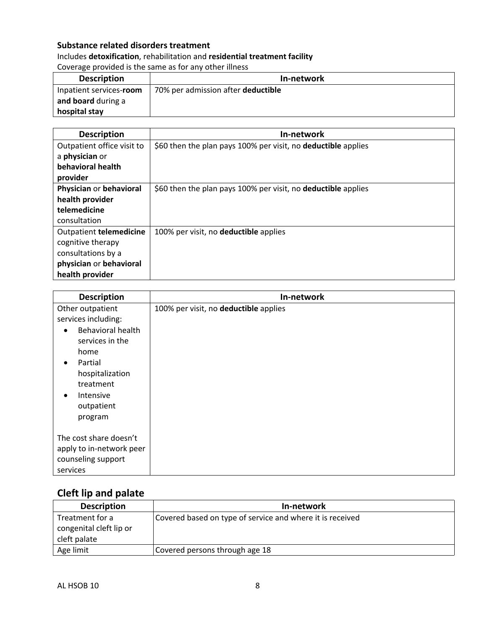# **Substance related disorders treatment**

# Includes **detoxification**, rehabilitation and **residential treatment facility** Coverage provided is the same as for any other illness

| <b>Description</b>      | In-network                         |
|-------------------------|------------------------------------|
| Inpatient services-room | 70% per admission after deductible |
| and board during a      |                                    |
| hospital stay           |                                    |

| <b>Description</b>         | In-network                                                           |
|----------------------------|----------------------------------------------------------------------|
| Outpatient office visit to | \$60 then the plan pays 100% per visit, no <b>deductible</b> applies |
| a physician or             |                                                                      |
| behavioral health          |                                                                      |
| provider                   |                                                                      |
| Physician or behavioral    | \$60 then the plan pays 100% per visit, no deductible applies        |
| health provider            |                                                                      |
| telemedicine               |                                                                      |
| consultation               |                                                                      |
| Outpatient telemedicine    | 100% per visit, no <b>deductible</b> applies                         |
| cognitive therapy          |                                                                      |
| consultations by a         |                                                                      |
| physician or behavioral    |                                                                      |
| health provider            |                                                                      |

| <b>Description</b>                                                                                                                                                                   | In-network                            |
|--------------------------------------------------------------------------------------------------------------------------------------------------------------------------------------|---------------------------------------|
| Other outpatient<br>services including:<br>Behavioral health<br>services in the<br>home<br>Partial<br>٠<br>hospitalization<br>treatment<br><b>Intensive</b><br>outpatient<br>program | 100% per visit, no deductible applies |
| The cost share doesn't<br>apply to in-network peer<br>counseling support<br>services                                                                                                 |                                       |

# **Cleft lip and palate**

| <b>Description</b>      | In-network                                                |
|-------------------------|-----------------------------------------------------------|
| Treatment for a         | Covered based on type of service and where it is received |
| congenital cleft lip or |                                                           |
| cleft palate            |                                                           |
| Age limit               | Covered persons through age 18                            |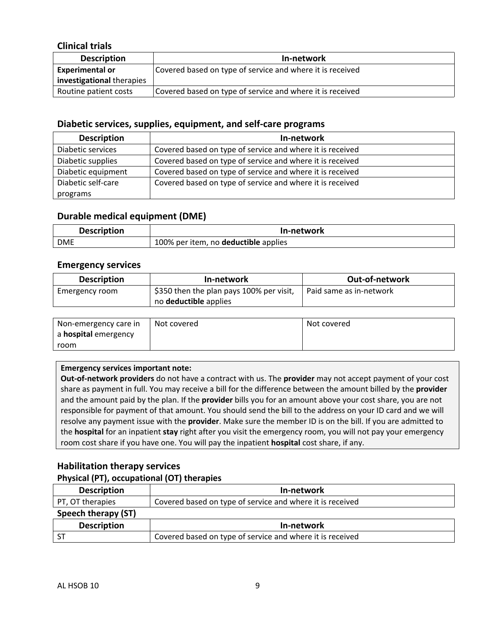# **Clinical trials**

| <b>Description</b>               | In-network                                                |
|----------------------------------|-----------------------------------------------------------|
| <b>Experimental or</b>           | Covered based on type of service and where it is received |
| <b>investigational therapies</b> |                                                           |
| Routine patient costs            | Covered based on type of service and where it is received |

#### **Diabetic services, supplies, equipment, and self-care programs**

| <b>Description</b> | In-network                                                |
|--------------------|-----------------------------------------------------------|
| Diabetic services  | Covered based on type of service and where it is received |
| Diabetic supplies  | Covered based on type of service and where it is received |
| Diabetic equipment | Covered based on type of service and where it is received |
| Diabetic self-care | Covered based on type of service and where it is received |
| programs           |                                                           |

#### **Durable medical equipment (DME)**

| <b>Description</b> | In-network                           |
|--------------------|--------------------------------------|
| <b>DME</b>         | 100% per item, no deductible applies |

#### **Emergency services**

| <b>Description</b> | In-network                               | <b>Out-of-network</b>   |
|--------------------|------------------------------------------|-------------------------|
| Emergency room     | \$350 then the plan pays 100% per visit, | Paid same as in-network |
|                    | no <b>deductible</b> applies             |                         |

| Non-emergency care in       | Not covered | Not covered |
|-----------------------------|-------------|-------------|
| a <b>hospital</b> emergency |             |             |
| room                        |             |             |

#### **Emergency services important note:**

**Out-of-network providers** do not have a contract with us. The **provider** may not accept payment of your cost share as payment in full. You may receive a bill for the difference between the amount billed by the **provider**  and the amount paid by the plan. If the **provider** bills you for an amount above your cost share, you are not responsible for payment of that amount. You should send the bill to the address on your ID card and we will resolve any payment issue with the **provider**. Make sure the member ID is on the bill. If you are admitted to the **hospital** for an inpatient **stay** right after you visit the emergency room, you will not pay your emergency room cost share if you have one. You will pay the inpatient **hospital** cost share, if any.

# **Habilitation therapy services**

#### **Physical (PT), occupational (OT) therapies**

| <b>Description</b>  | In-network                                                |  |
|---------------------|-----------------------------------------------------------|--|
| PT, OT therapies    | Covered based on type of service and where it is received |  |
| Speech therapy (ST) |                                                           |  |
| <b>Description</b>  | In-network                                                |  |
|                     | Covered based on type of service and where it is received |  |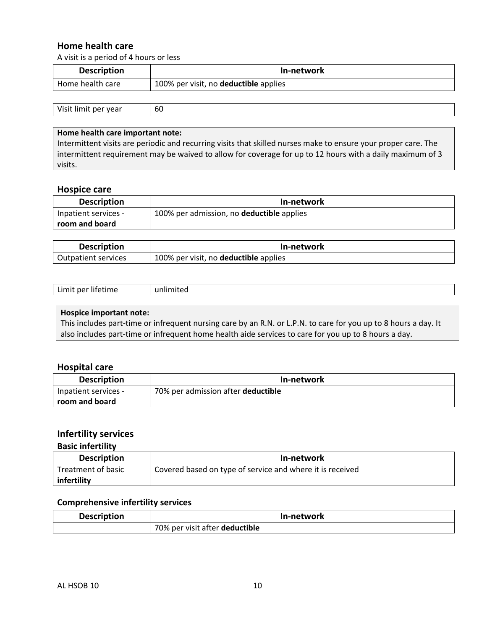### **Home health care**

A visit is a period of 4 hours or less

| <b>Description</b> | In-network                            |
|--------------------|---------------------------------------|
| Home health care   | 100% per visit, no deductible applies |

| $\overline{V}$<br>. vear<br>.<br>ner. | .bU |
|---------------------------------------|-----|
|---------------------------------------|-----|

#### **Home health care important note:**

Intermittent visits are periodic and recurring visits that skilled nurses make to ensure your proper care. The intermittent requirement may be waived to allow for coverage for up to 12 hours with a daily maximum of 3 visits.

#### **Hospice care**

| <b>Description</b>   | In-network                                |
|----------------------|-------------------------------------------|
| Inpatient services - | 100% per admission, no deductible applies |
| room and board       |                                           |

| <b>Description</b>  | In-network                                   |
|---------------------|----------------------------------------------|
| Outpatient services | 100% per visit, no <b>deductible</b> applies |

| ımıt<br>ner litetim<br>ıme<br>----- | ۱ır |
|-------------------------------------|-----|
|-------------------------------------|-----|

#### **Hospice important note:**

This includes part-time or infrequent nursing care by an R.N. or L.P.N. to care for you up to 8 hours a day. It also includes part-time or infrequent home health aide services to care for you up to 8 hours a day.

#### **Hospital care**

| <b>Description</b>   | In-network                         |
|----------------------|------------------------------------|
| Inpatient services - | 70% per admission after deductible |
| room and board       |                                    |

# **Infertility services**

#### **Basic infertility**

| <b>Description</b> | In-network                                                |
|--------------------|-----------------------------------------------------------|
| Treatment of basic | Covered based on type of service and where it is received |
| infertility        |                                                           |

#### **Comprehensive infertility services**

| <b>Description</b> | In-network                     |
|--------------------|--------------------------------|
|                    | 70% per visit after deductible |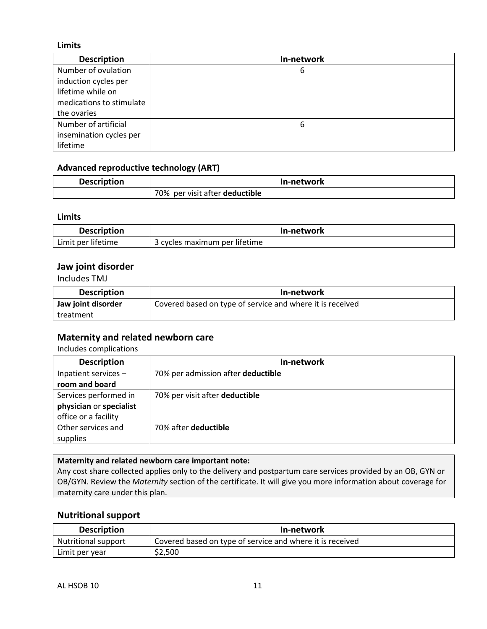#### **Limits**

| <b>Description</b>       | In-network |
|--------------------------|------------|
| Number of ovulation      | 6          |
| induction cycles per     |            |
| lifetime while on        |            |
| medications to stimulate |            |
| the ovaries              |            |
| Number of artificial     | 6          |
| insemination cycles per  |            |
| lifetime                 |            |

#### **Advanced reproductive technology (ART)**

| <b>Description</b> | In-network                     |
|--------------------|--------------------------------|
|                    | 70% per visit after deductible |

#### **Limits**

| <b>Description</b> | In-network                    |
|--------------------|-------------------------------|
| Limit per lifetime | 3 cycles maximum per lifetime |

### **Jaw joint disorder**

Includes TMJ

| <b>Description</b> | In-network                                                |
|--------------------|-----------------------------------------------------------|
| Jaw joint disorder | Covered based on type of service and where it is received |
| treatment          |                                                           |

### **Maternity and related newborn care**

Includes complications

| <b>Description</b>      | In-network                         |
|-------------------------|------------------------------------|
| Inpatient services -    | 70% per admission after deductible |
| room and board          |                                    |
| Services performed in   | 70% per visit after deductible     |
| physician or specialist |                                    |
| office or a facility    |                                    |
| Other services and      | 70% after deductible               |
| supplies                |                                    |

**Maternity and related newborn care important note:** Any cost share collected applies only to the delivery and postpartum care services provided by an OB, GYN or OB/GYN. Review the *Maternity* section of the certificate. It will give you more information about coverage for maternity care under this plan.

#### **Nutritional support**

| <b>Description</b>         | In-network                                                |
|----------------------------|-----------------------------------------------------------|
| <b>Nutritional support</b> | Covered based on type of service and where it is received |
| Limit per year             | \$2,500                                                   |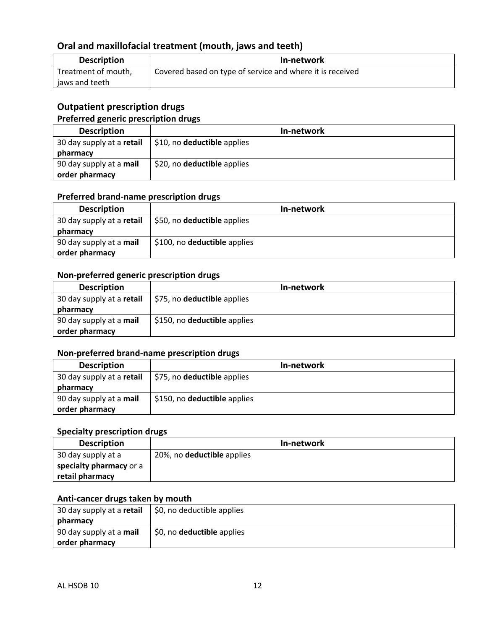# **Oral and maxillofacial treatment (mouth, jaws and teeth)**

| <b>Description</b>  | In-network                                                |
|---------------------|-----------------------------------------------------------|
| Treatment of mouth, | Covered based on type of service and where it is received |
| jaws and teeth      |                                                           |

# **Outpatient prescription drugs**

### **Preferred generic prescription drugs**

| <b>Description</b>        | In-network                  |
|---------------------------|-----------------------------|
| 30 day supply at a retail | \$10, no deductible applies |
| pharmacy                  |                             |
| 90 day supply at a mail   | \$20, no deductible applies |
| order pharmacy            |                             |

### **Preferred brand-name prescription drugs**

| <b>Description</b>        | In-network                   |
|---------------------------|------------------------------|
| 30 day supply at a retail | \$50, no deductible applies  |
| pharmacy                  |                              |
| 90 day supply at a mail   | \$100, no deductible applies |
| order pharmacy            |                              |

#### **Non-preferred generic prescription drugs**

| <b>Description</b>        | In-network                   |
|---------------------------|------------------------------|
| 30 day supply at a retail | \$75, no deductible applies  |
| pharmacy                  |                              |
| 90 day supply at a mail   | \$150, no deductible applies |
| order pharmacy            |                              |

# **Non-preferred brand-name prescription drugs**

| <b>Description</b>        | In-network                         |
|---------------------------|------------------------------------|
| 30 day supply at a retail | \$75, no <b>deductible</b> applies |
| pharmacy                  |                                    |
| 90 day supply at a mail   | \$150, no deductible applies       |
| order pharmacy            |                                    |

# **Specialty prescription drugs**

| <b>Description</b>      | In-network                 |
|-------------------------|----------------------------|
| 30 day supply at a      | 20%, no deductible applies |
| specialty pharmacy or a |                            |
| retail pharmacy         |                            |

## **Anti-cancer drugs taken by mouth**

| 30 day supply at a retail      | \$0, no deductible applies        |
|--------------------------------|-----------------------------------|
| pharmacy                       |                                   |
| 90 day supply at a <b>mail</b> | \$0, no <b>deductible</b> applies |
| order pharmacy                 |                                   |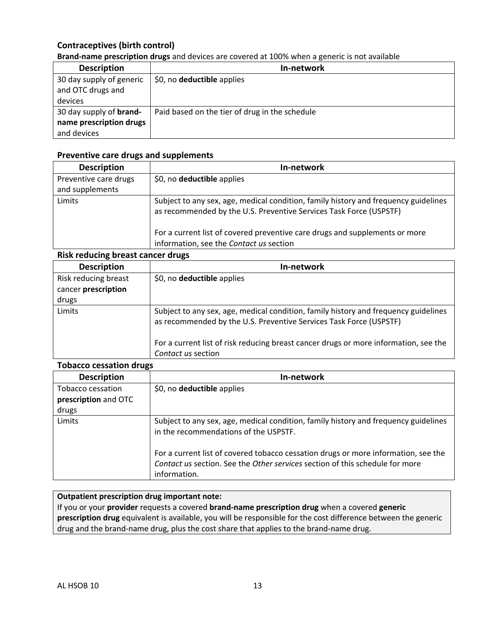### **Contraceptives (birth control)**

#### **Brand-name prescription drugs** and devices are covered at 100% when a generic is not available

| <b>Description</b>             | In-network                                     |
|--------------------------------|------------------------------------------------|
| 30 day supply of generic       | \$0, no <b>deductible</b> applies              |
| and OTC drugs and              |                                                |
| devices                        |                                                |
| 30 day supply of <b>brand-</b> | Paid based on the tier of drug in the schedule |
| name prescription drugs        |                                                |
| and devices                    |                                                |

#### **Preventive care drugs and supplements**

| <b>Description</b>    | In-network                                                                                                                                                |
|-----------------------|-----------------------------------------------------------------------------------------------------------------------------------------------------------|
| Preventive care drugs | \$0, no <b>deductible</b> applies                                                                                                                         |
| and supplements       |                                                                                                                                                           |
| Limits                | Subject to any sex, age, medical condition, family history and frequency guidelines<br>as recommended by the U.S. Preventive Services Task Force (USPSTF) |
|                       | For a current list of covered preventive care drugs and supplements or more                                                                               |
|                       | information, see the Contact us section                                                                                                                   |
|                       |                                                                                                                                                           |

#### **Risk reducing breast cancer drugs**

| <b>Description</b>                          | In-network                                                                                                                                                |
|---------------------------------------------|-----------------------------------------------------------------------------------------------------------------------------------------------------------|
| Risk reducing breast<br>cancer prescription | \$0, no deductible applies                                                                                                                                |
|                                             |                                                                                                                                                           |
| drugs                                       |                                                                                                                                                           |
| Limits                                      | Subject to any sex, age, medical condition, family history and frequency guidelines<br>as recommended by the U.S. Preventive Services Task Force (USPSTF) |
|                                             | For a current list of risk reducing breast cancer drugs or more information, see the<br>Contact us section                                                |

#### **Tobacco cessation drugs**

| <b>Description</b>   | In-network                                                                                                                                                                         |
|----------------------|------------------------------------------------------------------------------------------------------------------------------------------------------------------------------------|
| Tobacco cessation    | \$0, no <b>deductible</b> applies                                                                                                                                                  |
| prescription and OTC |                                                                                                                                                                                    |
| drugs                |                                                                                                                                                                                    |
| Limits               | Subject to any sex, age, medical condition, family history and frequency guidelines<br>in the recommendations of the USPSTF.                                                       |
|                      | For a current list of covered tobacco cessation drugs or more information, see the<br>Contact us section. See the Other services section of this schedule for more<br>information. |

#### **Outpatient prescription drug important note:**

If you or your **provider** requests a covered **brand-name prescription drug** when a covered **generic prescription drug** equivalent is available, you will be responsible for the cost difference between the generic drug and the brand-name drug, plus the cost share that applies to the brand-name drug.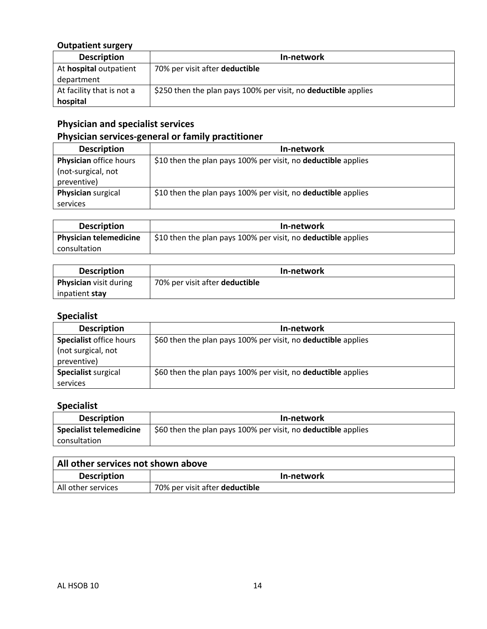# **Outpatient surgery**

| <b>Description</b>        | In-network                                                     |
|---------------------------|----------------------------------------------------------------|
| At hospital outpatient    | 70% per visit after deductible                                 |
| department                |                                                                |
| At facility that is not a | \$250 then the plan pays 100% per visit, no deductible applies |
| hospital                  |                                                                |

# **Physician and specialist services**

# **Physician services-general or family practitioner**

| <b>Description</b>     | In-network                                                           |
|------------------------|----------------------------------------------------------------------|
| Physician office hours | \$10 then the plan pays 100% per visit, no <b>deductible</b> applies |
| (not-surgical, not     |                                                                      |
| preventive)            |                                                                      |
| Physician surgical     | \$10 then the plan pays 100% per visit, no deductible applies        |
| services               |                                                                      |

| <b>Description</b>            | In-network                                                           |
|-------------------------------|----------------------------------------------------------------------|
| <b>Physician telemedicine</b> | \$10 then the plan pays 100% per visit, no <b>deductible</b> applies |
| consultation                  |                                                                      |

| <b>Description</b>            | In-network                     |
|-------------------------------|--------------------------------|
| <b>Physician</b> visit during | 70% per visit after deductible |
| inpatient stay                |                                |

# **Specialist**

| <b>Description</b>             | In-network                                                    |
|--------------------------------|---------------------------------------------------------------|
| <b>Specialist office hours</b> | \$60 then the plan pays 100% per visit, no deductible applies |
| (not surgical, not             |                                                               |
| preventive)                    |                                                               |
| Specialist surgical            | \$60 then the plan pays 100% per visit, no deductible applies |
| services                       |                                                               |

# **Specialist**

| <b>Description</b>             | In-network                                                    |
|--------------------------------|---------------------------------------------------------------|
| <b>Specialist telemedicine</b> | \$60 then the plan pays 100% per visit, no deductible applies |
| consultation                   |                                                               |

| All other services not shown above |                                |
|------------------------------------|--------------------------------|
| <b>Description</b>                 | In-network                     |
| All other services                 | 70% per visit after deductible |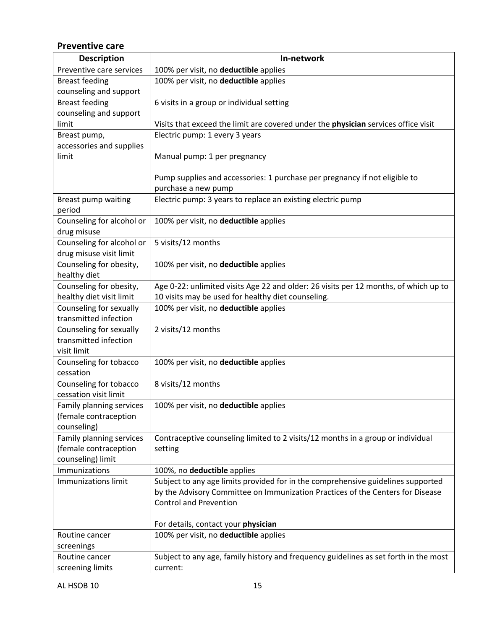# **Preventive care**

| <b>Description</b>                  | In-network                                                                           |
|-------------------------------------|--------------------------------------------------------------------------------------|
| Preventive care services            | 100% per visit, no deductible applies                                                |
| <b>Breast feeding</b>               | 100% per visit, no deductible applies                                                |
| counseling and support              |                                                                                      |
| <b>Breast feeding</b>               | 6 visits in a group or individual setting                                            |
| counseling and support              |                                                                                      |
| limit                               | Visits that exceed the limit are covered under the physician services office visit   |
| Breast pump,                        | Electric pump: 1 every 3 years                                                       |
| accessories and supplies            |                                                                                      |
| limit                               | Manual pump: 1 per pregnancy                                                         |
|                                     | Pump supplies and accessories: 1 purchase per pregnancy if not eligible to           |
|                                     | purchase a new pump                                                                  |
| Breast pump waiting                 | Electric pump: 3 years to replace an existing electric pump                          |
| period                              |                                                                                      |
| Counseling for alcohol or           | 100% per visit, no deductible applies                                                |
| drug misuse                         |                                                                                      |
| Counseling for alcohol or           | 5 visits/12 months                                                                   |
| drug misuse visit limit             |                                                                                      |
| Counseling for obesity,             | 100% per visit, no deductible applies                                                |
| healthy diet                        |                                                                                      |
| Counseling for obesity,             | Age 0-22: unlimited visits Age 22 and older: 26 visits per 12 months, of which up to |
| healthy diet visit limit            | 10 visits may be used for healthy diet counseling.                                   |
| Counseling for sexually             | 100% per visit, no deductible applies                                                |
| transmitted infection               |                                                                                      |
| Counseling for sexually             | 2 visits/12 months                                                                   |
| transmitted infection               |                                                                                      |
| visit limit                         |                                                                                      |
| Counseling for tobacco<br>cessation | 100% per visit, no deductible applies                                                |
| Counseling for tobacco              | 8 visits/12 months                                                                   |
| cessation visit limit               |                                                                                      |
| Family planning services            | 100% per visit, no deductible applies                                                |
| (female contraception               |                                                                                      |
| counseling)                         |                                                                                      |
| Family planning services            | Contraceptive counseling limited to 2 visits/12 months in a group or individual      |
| (female contraception               | setting                                                                              |
| counseling) limit                   |                                                                                      |
| Immunizations                       | 100%, no deductible applies                                                          |
| <b>Immunizations limit</b>          | Subject to any age limits provided for in the comprehensive guidelines supported     |
|                                     | by the Advisory Committee on Immunization Practices of the Centers for Disease       |
|                                     | <b>Control and Prevention</b>                                                        |
|                                     |                                                                                      |
|                                     | For details, contact your physician                                                  |
| Routine cancer                      | 100% per visit, no deductible applies                                                |
| screenings                          |                                                                                      |
| Routine cancer                      | Subject to any age, family history and frequency guidelines as set forth in the most |
| screening limits                    | current:                                                                             |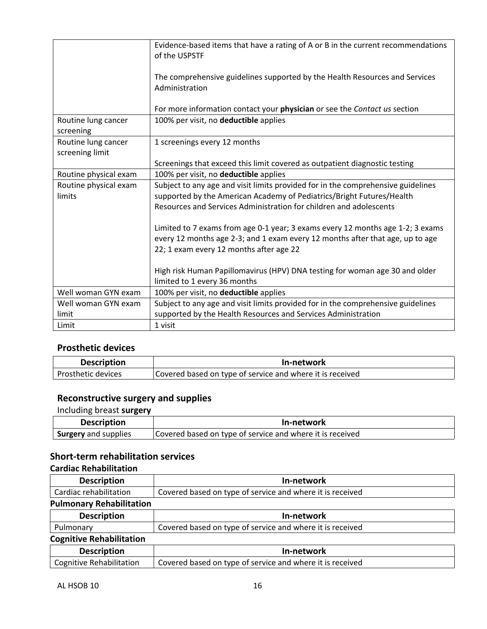|                                        | Evidence-based items that have a rating of A or B in the current recommendations<br>of the USPSTF                                                                                                          |
|----------------------------------------|------------------------------------------------------------------------------------------------------------------------------------------------------------------------------------------------------------|
|                                        | The comprehensive guidelines supported by the Health Resources and Services<br>Administration                                                                                                              |
|                                        | For more information contact your physician or see the Contact us section                                                                                                                                  |
| Routine lung cancer<br>screening       | 100% per visit, no deductible applies                                                                                                                                                                      |
| Routine lung cancer<br>screening limit | 1 screenings every 12 months                                                                                                                                                                               |
|                                        | Screenings that exceed this limit covered as outpatient diagnostic testing                                                                                                                                 |
| Routine physical exam                  | 100% per visit, no deductible applies                                                                                                                                                                      |
| Routine physical exam                  | Subject to any age and visit limits provided for in the comprehensive guidelines                                                                                                                           |
| limits                                 | supported by the American Academy of Pediatrics/Bright Futures/Health                                                                                                                                      |
|                                        | Resources and Services Administration for children and adolescents                                                                                                                                         |
|                                        | Limited to 7 exams from age 0-1 year; 3 exams every 12 months age 1-2; 3 exams<br>every 12 months age 2-3; and 1 exam every 12 months after that age, up to age<br>22; 1 exam every 12 months after age 22 |
|                                        | High risk Human Papillomavirus (HPV) DNA testing for woman age 30 and older<br>limited to 1 every 36 months                                                                                                |
| Well woman GYN exam                    | 100% per visit, no deductible applies                                                                                                                                                                      |
| Well woman GYN exam                    | Subject to any age and visit limits provided for in the comprehensive guidelines                                                                                                                           |
| limit                                  | supported by the Health Resources and Services Administration                                                                                                                                              |
| Limit                                  | 1 visit                                                                                                                                                                                                    |

# **Prosthetic devices**

| <b>Description</b> | In-network                                                |
|--------------------|-----------------------------------------------------------|
| Prosthetic devices | Covered based on type of service and where it is received |

# **Reconstructive surgery and supplies**

Including breast **surgery**

| <b>Description</b>          | In-network                                                |
|-----------------------------|-----------------------------------------------------------|
| <b>Surgery</b> and supplies | Covered based on type of service and where it is received |

# **Short-term rehabilitation services**

### **Cardiac Rehabilitation**

| <b>Description</b>              | In-network                                                |
|---------------------------------|-----------------------------------------------------------|
| Cardiac rehabilitation          | Covered based on type of service and where it is received |
| <b>Pulmonary Rehabilitation</b> |                                                           |
| ______                          |                                                           |

| <b>Description</b>              | In-network                                                |
|---------------------------------|-----------------------------------------------------------|
| Pulmonary                       | Covered based on type of service and where it is received |
| <b>Cognitive Rehabilitation</b> |                                                           |
| <b>Description</b>              | In-network                                                |
| <b>Cognitive Rehabilitation</b> | Covered based on type of service and where it is received |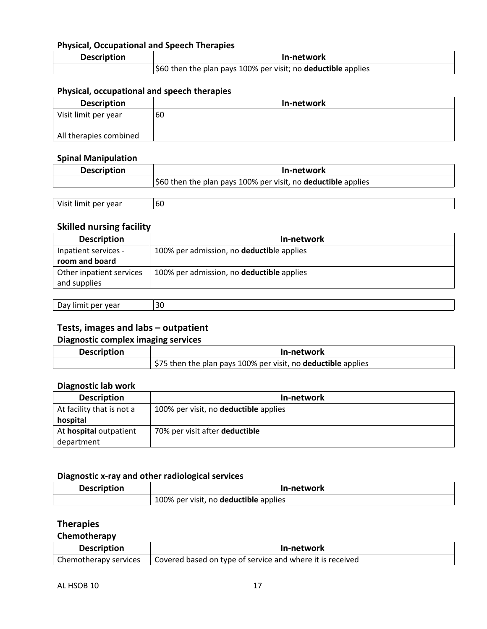# **Physical, Occupational and Speech Therapies**

| <b>Description</b> | In-network                                                           |
|--------------------|----------------------------------------------------------------------|
|                    | \$60 then the plan pays 100% per visit; no <b>deductible</b> applies |

### **Physical, occupational and speech therapies**

| <b>Description</b>     | In-network |
|------------------------|------------|
| Visit limit per year   | 60         |
|                        |            |
| All therapies combined |            |

#### **Spinal Manipulation**

| <b>Description</b> | In-network                                                           |
|--------------------|----------------------------------------------------------------------|
|                    | \$60 then the plan pays 100% per visit, no <b>deductible</b> applies |
|                    |                                                                      |

| vea. | $\sim$ |
|------|--------|
| ብሮ   | bU.    |
|      |        |

# **Skilled nursing facility**

| <b>Description</b>       | In-network                                |
|--------------------------|-------------------------------------------|
| Inpatient services -     | 100% per admission, no deductible applies |
| room and board           |                                           |
| Other inpatient services | 100% per admission, no deductible applies |
| and supplies             |                                           |

| $\sim$<br><br>. vear<br>шть<br><br>co.<br>- - | 30 |
|-----------------------------------------------|----|
|-----------------------------------------------|----|

### **Tests, images and labs – outpatient**

### **Diagnostic complex imaging services**

| <b>Description</b> | In-network                                                           |
|--------------------|----------------------------------------------------------------------|
|                    | \$75 then the plan pays 100% per visit, no <b>deductible</b> applies |

#### **Diagnostic lab work**

| <b>Description</b>        | In-network                            |
|---------------------------|---------------------------------------|
| At facility that is not a | 100% per visit, no deductible applies |
| hospital                  |                                       |
| At hospital outpatient    | 70% per visit after deductible        |
| department                |                                       |

#### **Diagnostic x-ray and other radiological services**

| <b>Description</b> | In-network                                   |
|--------------------|----------------------------------------------|
|                    | 100% per visit, no <b>deductible</b> applies |

### **Therapies**

### **Chemotherapy**

| <b>Description</b>    | In-network                                                |
|-----------------------|-----------------------------------------------------------|
| Chemotherapy services | Covered based on type of service and where it is received |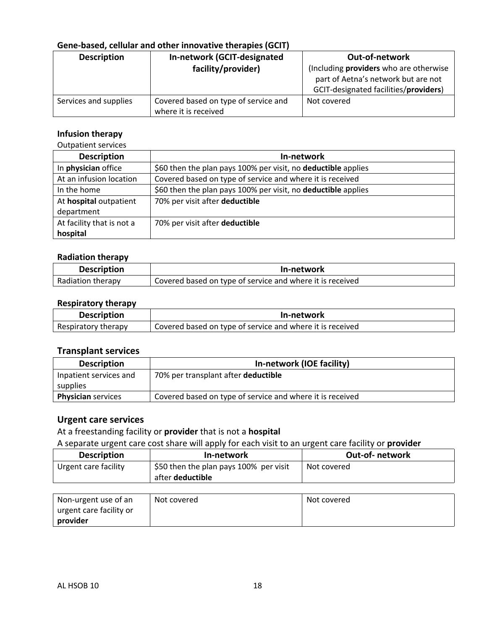# **Gene-based, cellular and other innovative therapies (GCIT)**

| <b>Description</b>    | In-network (GCIT-designated          | <b>Out-of-network</b>                                                                                                  |
|-----------------------|--------------------------------------|------------------------------------------------------------------------------------------------------------------------|
|                       | facility/provider)                   | (Including providers who are otherwise<br>part of Aetna's network but are not<br>GCIT-designated facilities/providers) |
|                       |                                      |                                                                                                                        |
| Services and supplies | Covered based on type of service and | Not covered                                                                                                            |
|                       | where it is received                 |                                                                                                                        |

#### **Infusion therapy**

Outpatient services

| <b>Description</b>         | In-network                                                    |
|----------------------------|---------------------------------------------------------------|
| In <b>physician</b> office | \$60 then the plan pays 100% per visit, no deductible applies |
| At an infusion location    | Covered based on type of service and where it is received     |
| In the home                | \$60 then the plan pays 100% per visit, no deductible applies |
| At hospital outpatient     | 70% per visit after deductible                                |
| department                 |                                                               |
| At facility that is not a  | 70% per visit after deductible                                |
| hospital                   |                                                               |

#### **Radiation therapy**

| <b>Description</b> | In-network                                                |
|--------------------|-----------------------------------------------------------|
| Radiation therapy  | Covered based on type of service and where it is received |

### **Respiratory therapy**

| <b>Description</b>  | In-network                                                |
|---------------------|-----------------------------------------------------------|
| Respiratory therapy | Covered based on type of service and where it is received |

# **Transplant services**

| <b>Description</b>        | In-network (IOE facility)                                 |
|---------------------------|-----------------------------------------------------------|
| Inpatient services and    | 70% per transplant after deductible                       |
| supplies                  |                                                           |
| <b>Physician</b> services | Covered based on type of service and where it is received |

## **Urgent care services**

At a freestanding facility or **provider** that is not a **hospital**

A separate urgent care cost share will apply for each visit to an urgent care facility or **provider**

| <b>Description</b>   | In-network                             | <b>Out-of-network</b> |
|----------------------|----------------------------------------|-----------------------|
| Urgent care facility | \$50 then the plan pays 100% per visit | Not covered           |
|                      | after <b>deductible</b>                |                       |

| Non-urgent use of an      | Not covered | Not covered |
|---------------------------|-------------|-------------|
| l urgent care facility or |             |             |
| provider                  |             |             |